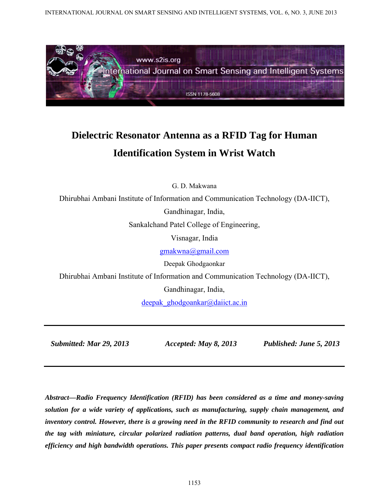INTERNATIONAL JOURNAL ON SMART SENSING AND INTELLIGENT SYSTEMS, VOL. 6, NO. 3, JUNE 2013



# **Dielectric Resonator Antenna as a RFID Tag for Human Identification System in Wrist Watch**

G. D. Makwana

Dhirubhai Ambani Institute of Information and Communication Technology (DA-IICT),

Gandhinagar, India,

Sankalchand Patel College of Engineering,

Visnagar, India

gmakwna@gmail.com

Deepak Ghodgaonkar

Dhirubhai Ambani Institute of Information and Communication Technology (DA-IICT),

Gandhinagar, India,

deepak ghodgoankar@daiict.ac.in

 *Submitted: Mar 29, 2013 Accepted: May 8, 2013 Published: June 5, 2013* 

*Abstract—Radio Frequency Identification (RFID) has been considered as a time and money-saving solution for a wide variety of applications, such as manufacturing, supply chain management, and inventory control. However, there is a growing need in the RFID community to research and find out the tag with miniature, circular polarized radiation patterns, dual band operation, high radiation efficiency and high bandwidth operations. This paper presents compact radio frequency identification*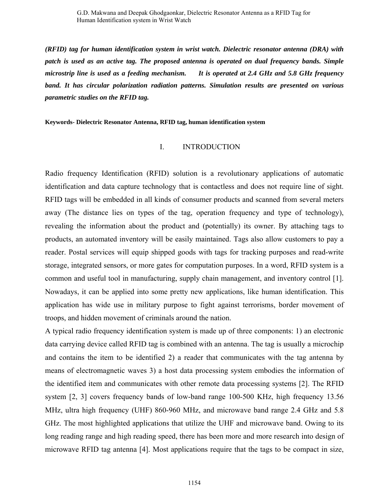*(RFID) tag for human identification system in wrist watch. Dielectric resonator antenna (DRA) with patch is used as an active tag. The proposed antenna is operated on dual frequency bands. Simple microstrip line is used as a feeding mechanism. It is operated at 2.4 GHz and 5.8 GHz frequency band. It has circular polarization radiation patterns. Simulation results are presented on various parametric studies on the RFID tag.* 

**Keywords- Dielectric Resonator Antenna, RFID tag, human identification system**

## I. INTRODUCTION

Radio frequency Identification (RFID) solution is a revolutionary applications of automatic identification and data capture technology that is contactless and does not require line of sight. RFID tags will be embedded in all kinds of consumer products and scanned from several meters away (The distance lies on types of the tag, operation frequency and type of technology), revealing the information about the product and (potentially) its owner. By attaching tags to products, an automated inventory will be easily maintained. Tags also allow customers to pay a reader. Postal services will equip shipped goods with tags for tracking purposes and read-write storage, integrated sensors, or more gates for computation purposes. In a word, RFID system is a common and useful tool in manufacturing, supply chain management, and inventory control [1]. Nowadays, it can be applied into some pretty new applications, like human identification. This application has wide use in military purpose to fight against terrorisms, border movement of troops, and hidden movement of criminals around the nation.

A typical radio frequency identification system is made up of three components: 1) an electronic data carrying device called RFID tag is combined with an antenna. The tag is usually a microchip and contains the item to be identified 2) a reader that communicates with the tag antenna by means of electromagnetic waves 3) a host data processing system embodies the information of the identified item and communicates with other remote data processing systems [2]. The RFID system [2, 3] covers frequency bands of low-band range 100-500 KHz, high frequency 13.56 MHz, ultra high frequency (UHF) 860-960 MHz, and microwave band range 2.4 GHz and 5.8 GHz. The most highlighted applications that utilize the UHF and microwave band. Owing to its long reading range and high reading speed, there has been more and more research into design of microwave RFID tag antenna [4]. Most applications require that the tags to be compact in size,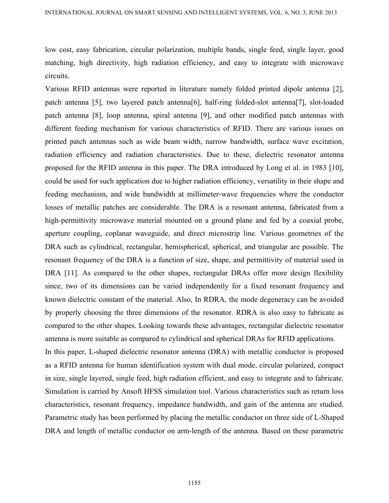low cost, easy fabrication, circular polarization, multiple bands, single feed, single layer, good matching, high directivity, high radiation efficiency, and easy to integrate with microwave circuits.

Various RFID antennas were reported in literature namely folded printed dipole antenna [2], patch antenna [5], two layered patch antenna[6], half-ring folded-slot antenna[7], slot-loaded patch antenna [8], loop antenna, spiral antenna [9], and other modified patch antennas with different feeding mechanism for various characteristics of RFID. There are various issues on printed patch antennas such as wide beam width, narrow bandwidth, surface wave excitation, radiation efficiency and radiation characteristics. Due to these, dielectric resonator antenna proposed for the RFID antenna in this paper. The DRA introduced by Long et al. in 1983 [10], could be used for such application due to higher radiation efficiency, versatility in their shape and feeding mechanism, and wide bandwidth at millimeter-wave frequencies where the conductor losses of metallic patches are considerable. The DRA is a resonant antenna, fabricated from a high-permittivity microwave material mounted on a ground plane and fed by a coaxial probe, aperture coupling, coplanar waveguide, and direct microstrip line. Various geometries of the DRA such as cylindrical, rectangular, hemispherical, spherical, and triangular are possible. The resonant frequency of the DRA is a function of size, shape, and permittivity of material used in DRA [11]. As compared to the other shapes, rectangular DRAs offer more design flexibility since, two of its dimensions can be varied independently for a fixed resonant frequency and known dielectric constant of the material. Also, In RDRA, the mode degeneracy can be avoided by properly choosing the three dimensions of the resonator. RDRA is also easy to fabricate as compared to the other shapes. Looking towards these advantages, rectangular dielectric resonator antenna is more suitable as compared to cylindrical and spherical DRAs for RFID applications.

In this paper, L-shaped dielectric resonator antenna (DRA) with metallic conductor is proposed as a RFID antenna for human identification system with dual mode, circular polarized, compact in size, single layered, single feed, high radiation efficient, and easy to integrate and to fabricate. Simulation is carried by Ansoft HFSS simulation tool. Various characteristics such as return loss characteristics, resonant frequency, impedance bandwidth, and gain of the antenna are studied. Parametric study has been performed by placing the metallic conductor on three side of L-Shaped DRA and length of metallic conductor on arm-length of the antenna. Based on these parametric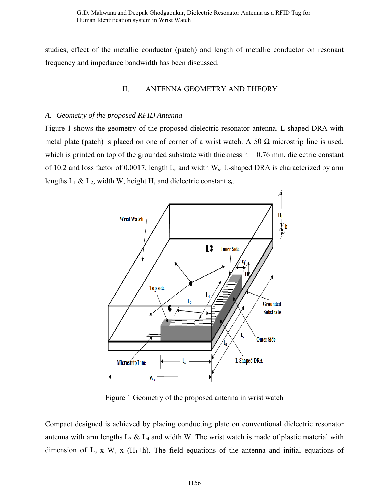G.D. Makwana and Deepak Ghodgaonkar, Dielectric Resonator Antenna as a RFID Tag for Human Identification system in Wrist Watch

studies, effect of the metallic conductor (patch) and length of metallic conductor on resonant frequency and impedance bandwidth has been discussed.

### II. ANTENNA GEOMETRY AND THEORY

#### *A. Geometry of the proposed RFID Antenna*

Figure 1 shows the geometry of the proposed dielectric resonator antenna. L-shaped DRA with metal plate (patch) is placed on one of corner of a wrist watch. A 50  $\Omega$  microstrip line is used, which is printed on top of the grounded substrate with thickness  $h = 0.76$  mm, dielectric constant of 10.2 and loss factor of 0.0017, length  $L_s$  and width  $W_s$ . L-shaped DRA is characterized by arm lengths  $L_1 \& L_2$ , width W, height H, and dielectric constant  $\varepsilon_r$ .



Figure 1 Geometry of the proposed antenna in wrist watch

Compact designed is achieved by placing conducting plate on conventional dielectric resonator antenna with arm lengths  $L_3 \& L_4$  and width W. The wrist watch is made of plastic material with dimension of  $L_s$  x  $W_s$  x (H<sub>1</sub>+h). The field equations of the antenna and initial equations of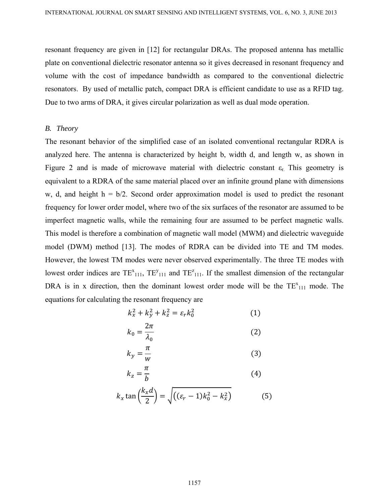resonant frequency are given in [12] for rectangular DRAs. The proposed antenna has metallic plate on conventional dielectric resonator antenna so it gives decreased in resonant frequency and volume with the cost of impedance bandwidth as compared to the conventional dielectric resonators. By used of metallic patch, compact DRA is efficient candidate to use as a RFID tag. Due to two arms of DRA, it gives circular polarization as well as dual mode operation.

#### *B. Theory*

The resonant behavior of the simplified case of an isolated conventional rectangular RDRA is analyzed here. The antenna is characterized by height b, width d, and length w, as shown in Figure 2 and is made of microwave material with dielectric constant  $\varepsilon_r$ . This geometry is equivalent to a RDRA of the same material placed over an infinite ground plane with dimensions w, d, and height  $h = b/2$ . Second order approximation model is used to predict the resonant frequency for lower order model, where two of the six surfaces of the resonator are assumed to be imperfect magnetic walls, while the remaining four are assumed to be perfect magnetic walls. This model is therefore a combination of magnetic wall model (MWM) and dielectric waveguide model (DWM) method [13]. The modes of RDRA can be divided into TE and TM modes. However, the lowest TM modes were never observed experimentally. The three TE modes with lowest order indices are  $TE_{111}^x$ ,  $TE_{111}^y$  and  $TE_{111}^z$ . If the smallest dimension of the rectangular DRA is in x direction, then the dominant lowest order mode will be the  $TE_{111}^x$  mode. The equations for calculating the resonant frequency are

$$
k_x^2 + k_y^2 + k_z^2 = \varepsilon_r k_0^2 \tag{1}
$$

$$
k_0 = \frac{2\pi}{\lambda_0} \tag{2}
$$

$$
k_y = \frac{\pi}{w} \tag{3}
$$

$$
k_z = \frac{\pi}{b} \tag{4}
$$

$$
k_x \tan\left(\frac{k_x d}{2}\right) = \sqrt{\left((\varepsilon_r - 1)k_0^2 - k_x^2\right)}
$$
(5)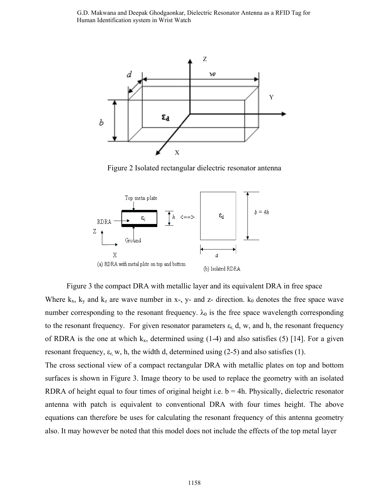G.D. Makwana and Deepak Ghodgaonkar, Dielectric Resonator Antenna as a RFID Tag for Human Identification system in Wrist Watch



Figure 2 Isolated rectangular dielectric resonator antenna



Figure 3 the compact DRA with metallic layer and its equivalent DRA in free space Where  $k_x$ ,  $k_y$  and  $k_z$  are wave number in x-, y- and z- direction.  $k_0$  denotes the free space wave number corresponding to the resonant frequency.  $\lambda_0$  is the free space wavelength corresponding to the resonant frequency. For given resonator parameters  $\varepsilon_r$ , d, w, and h, the resonant frequency of RDRA is the one at which  $k_x$ , determined using (1-4) and also satisfies (5) [14]. For a given resonant frequency,  $\varepsilon_{r}$ , w, h, the width d, determined using (2-5) and also satisfies (1).

The cross sectional view of a compact rectangular DRA with metallic plates on top and bottom surfaces is shown in Figure 3. Image theory to be used to replace the geometry with an isolated RDRA of height equal to four times of original height i.e.  $b = 4h$ . Physically, dielectric resonator antenna with patch is equivalent to conventional DRA with four times height. The above equations can therefore be uses for calculating the resonant frequency of this antenna geometry also. It may however be noted that this model does not include the effects of the top metal layer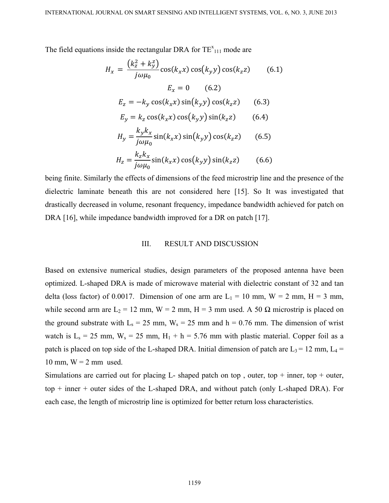The field equations inside the rectangular DRA for  $TE_{111}^x$  mode are

$$
H_x = \frac{(k_z^2 + k_y^2)}{j\omega\mu_0} \cos(k_x x) \cos(k_y y) \cos(k_z z)
$$
(6.1)  

$$
E_x = 0
$$
(6.2)  

$$
E_z = -k_y \cos(k_x x) \sin(k_y y) \cos(k_z z)
$$
(6.3)  

$$
E_y = k_z \cos(k_x x) \cos(k_y y) \sin(k_z z)
$$
(6.4)  

$$
H_y = \frac{k_y k_x}{j\omega\mu_0} \sin(k_x x) \sin(k_y y) \cos(k_z z)
$$
(6.5)

$$
H_z = \frac{k_z k_x}{j \omega \mu_0} \sin(k_x x) \cos(k_y y) \sin(k_z z)
$$
 (6.6)

being finite. Similarly the effects of dimensions of the feed microstrip line and the presence of the dielectric laminate beneath this are not considered here [15]. So It was investigated that drastically decreased in volume, resonant frequency, impedance bandwidth achieved for patch on DRA [16], while impedance bandwidth improved for a DR on patch [17].

#### III. RESULT AND DISCUSSION

Based on extensive numerical studies, design parameters of the proposed antenna have been optimized. L-shaped DRA is made of microwave material with dielectric constant of 32 and tan delta (loss factor) of 0.0017. Dimension of one arm are  $L_1 = 10$  mm,  $W = 2$  mm,  $H = 3$  mm, while second arm are  $L_2 = 12$  mm,  $W = 2$  mm,  $H = 3$  mm used. A 50  $\Omega$  microstrip is placed on the ground substrate with  $L_s = 25$  mm,  $W_s = 25$  mm and h = 0.76 mm. The dimension of wrist watch is  $L_s = 25$  mm,  $W_s = 25$  mm,  $H_1 + h = 5.76$  mm with plastic material. Copper foil as a patch is placed on top side of the L-shaped DRA. Initial dimension of patch are  $L_3 = 12$  mm,  $L_4 =$ 10 mm,  $W = 2$  mm used.

Simulations are carried out for placing L- shaped patch on top, outer, top + inner, top + outer, top + inner + outer sides of the L-shaped DRA, and without patch (only L-shaped DRA). For each case, the length of microstrip line is optimized for better return loss characteristics.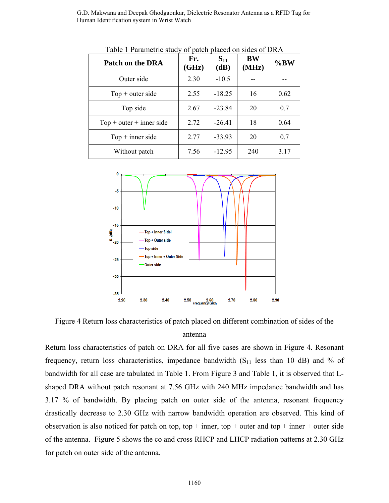G.D. Makwana and Deepak Ghodgaonkar, Dielectric Resonator Antenna as a RFID Tag for Human Identification system in Wrist Watch

| Patch on the DRA           | Fr.<br>(GHz) | $S_{11}$<br>(dB) | <b>BW</b><br>(MHz) | %BW  |
|----------------------------|--------------|------------------|--------------------|------|
| Outer side                 | 2.30         | $-10.5$          |                    |      |
| $Top + outer side$         | 2.55         | $-18.25$         | 16                 | 0.62 |
| Top side                   | 2.67         | $-23.84$         | 20                 | 0.7  |
| $Top + outer + inner side$ | 2.72         | $-26.41$         | 18                 | 0.64 |
| $Top + inner side$         | 2.77         | $-33.93$         | 20                 | 0.7  |
| Without patch              | 7.56         | $-12.95$         | 240                | 3.17 |

Table 1 Parametric study of patch placed on sides of DRA



Figure 4 Return loss characteristics of patch placed on different combination of sides of the antenna

Return loss characteristics of patch on DRA for all five cases are shown in Figure 4. Resonant frequency, return loss characteristics, impedance bandwidth  $(S<sub>11</sub>$  less than 10 dB) and % of bandwidth for all case are tabulated in Table 1. From Figure 3 and Table 1, it is observed that Lshaped DRA without patch resonant at 7.56 GHz with 240 MHz impedance bandwidth and has 3.17 % of bandwidth. By placing patch on outer side of the antenna, resonant frequency drastically decrease to 2.30 GHz with narrow bandwidth operation are observed. This kind of observation is also noticed for patch on top, top + inner, top + outer and top + inner + outer side of the antenna. Figure 5 shows the co and cross RHCP and LHCP radiation patterns at 2.30 GHz for patch on outer side of the antenna.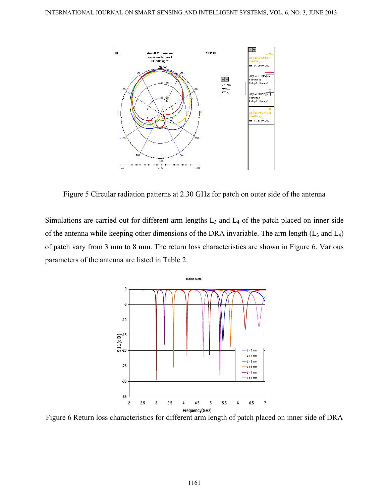

Figure 5 Circular radiation patterns at 2.30 GHz for patch on outer side of the antenna

Simulations are carried out for different arm lengths  $L_3$  and  $L_4$  of the patch placed on inner side of the antenna while keeping other dimensions of the DRA invariable. The arm length  $(L_3 \text{ and } L_4)$ of patch vary from 3 mm to 8 mm. The return loss characteristics are shown in Figure 6. Various parameters of the antenna are listed in Table 2.



Figure 6 Return loss characteristics for different arm length of patch placed on inner side of DRA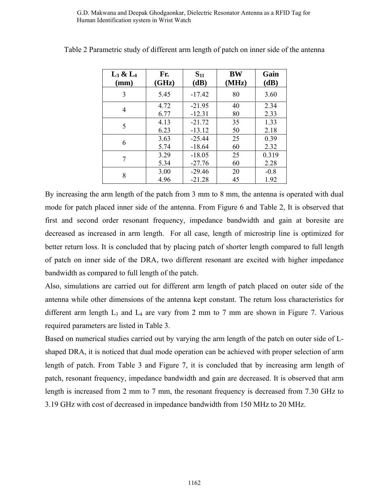G.D. Makwana and Deepak Ghodgaonkar, Dielectric Resonator Antenna as a RFID Tag for Human Identification system in Wrist Watch

| $L_3 \& L_4$ | Fr.   | $S_{11}$ | <b>BW</b> | Gain   |
|--------------|-------|----------|-----------|--------|
| (mm)         | (GHz) | (dB)     | (MHz)     | (dB)   |
| 3            | 5.45  | $-17.42$ | 80        | 3.60   |
| 4            | 4.72  | $-21.95$ | 40        | 2.34   |
|              | 6.77  | $-12.31$ | 80        | 2.33   |
| 5            | 4.13  | $-21.72$ | 35        | 1.33   |
|              | 6.23  | $-13.12$ | 50        | 2.18   |
| 6            | 3.63  | $-25.44$ | 25        | 0.39   |
|              | 5.74  | $-18.64$ | 60        | 2.32   |
| 7            | 3.29  | $-18.05$ | 25        | 0.319  |
|              | 5.34  | $-27.76$ | 60        | 2.28   |
| 8            | 3.00  | $-29.46$ | 20        | $-0.8$ |
|              | 4.96  | $-21.28$ | 45        | 1.92   |

Table 2 Parametric study of different arm length of patch on inner side of the antenna

By increasing the arm length of the patch from 3 mm to 8 mm, the antenna is operated with dual mode for patch placed inner side of the antenna. From Figure 6 and Table 2, It is observed that first and second order resonant frequency, impedance bandwidth and gain at boresite are decreased as increased in arm length. For all case, length of microstrip line is optimized for better return loss. It is concluded that by placing patch of shorter length compared to full length of patch on inner side of the DRA, two different resonant are excited with higher impedance bandwidth as compared to full length of the patch.

Also, simulations are carried out for different arm length of patch placed on outer side of the antenna while other dimensions of the antenna kept constant. The return loss characteristics for different arm length  $L_3$  and  $L_4$  are vary from 2 mm to 7 mm are shown in Figure 7. Various required parameters are listed in Table 3.

Based on numerical studies carried out by varying the arm length of the patch on outer side of Lshaped DRA, it is noticed that dual mode operation can be achieved with proper selection of arm length of patch. From Table 3 and Figure 7, it is concluded that by increasing arm length of patch, resonant frequency, impedance bandwidth and gain are decreased. It is observed that arm length is increased from 2 mm to 7 mm, the resonant frequency is decreased from 7.30 GHz to 3.19 GHz with cost of decreased in impedance bandwidth from 150 MHz to 20 MHz.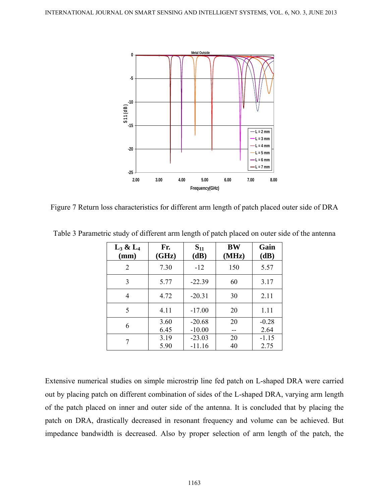

Figure 7 Return loss characteristics for different arm length of patch placed outer side of DRA

| $L_3 \& L_4$<br>(mm) | Fr.<br>(GHz) | $S_{11}$<br>(dB)     | <b>BW</b><br>(MHz) | Gain<br>(dB)    |
|----------------------|--------------|----------------------|--------------------|-----------------|
| 2                    | 7.30         | $-12$                | 150                | 5.57            |
| 3                    | 5.77         | $-22.39$             | 60                 | 3.17            |
| 4                    | 4.72         | $-20.31$             | 30                 | 2.11            |
| 5                    | 4.11         | $-17.00$             | 20                 | 1.11            |
| 6                    | 3.60<br>6.45 | $-20.68$<br>$-10.00$ | 20                 | $-0.28$<br>2.64 |
|                      | 3.19<br>5.90 | $-23.03$<br>$-11.16$ | 20<br>40           | $-1.15$<br>2.75 |

Table 3 Parametric study of different arm length of patch placed on outer side of the antenna

Extensive numerical studies on simple microstrip line fed patch on L-shaped DRA were carried out by placing patch on different combination of sides of the L-shaped DRA, varying arm length of the patch placed on inner and outer side of the antenna. It is concluded that by placing the patch on DRA, drastically decreased in resonant frequency and volume can be achieved. But impedance bandwidth is decreased. Also by proper selection of arm length of the patch, the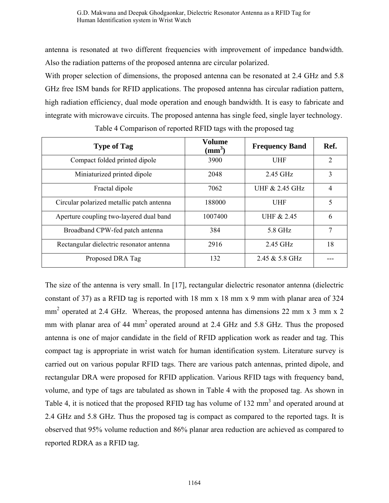antenna is resonated at two different frequencies with improvement of impedance bandwidth. Also the radiation patterns of the proposed antenna are circular polarized.

With proper selection of dimensions, the proposed antenna can be resonated at 2.4 GHz and 5.8 GHz free ISM bands for RFID applications. The proposed antenna has circular radiation pattern, high radiation efficiency, dual mode operation and enough bandwidth. It is easy to fabricate and integrate with microwave circuits. The proposed antenna has single feed, single layer technology.

| <b>Type of Tag</b>                        | <b>Volume</b><br>$\text{mm}^3$ ) | <b>Frequency Band</b> | Ref.           |
|-------------------------------------------|----------------------------------|-----------------------|----------------|
| Compact folded printed dipole             | 3900                             | <b>UHF</b>            | $\overline{2}$ |
| Miniaturized printed dipole               | 2048                             | 2.45 GHz              | 3              |
| Fractal dipole                            | 7062                             | UHF & 2.45 GHz        | $\overline{4}$ |
| Circular polarized metallic patch antenna | 188000                           | <b>UHF</b>            | 5              |
| Aperture coupling two-layered dual band   | 1007400                          | UHF & 2.45            | 6              |
| Broadband CPW-fed patch antenna           | 384                              | 5.8 GHz               | 7              |
| Rectangular dielectric resonator antenna  | 2916                             | 2.45 GHz              | 18             |
| Proposed DRA Tag                          | 132                              | 2.45 & 5.8 GHz        |                |

Table 4 Comparison of reported RFID tags with the proposed tag

The size of the antenna is very small. In [17], rectangular dielectric resonator antenna (dielectric constant of 37) as a RFID tag is reported with 18 mm x 18 mm x 9 mm with planar area of 324  $mm<sup>2</sup>$  operated at 2.4 GHz. Whereas, the proposed antenna has dimensions 22 mm x 3 mm x 2 mm with planar area of 44 mm<sup>2</sup> operated around at 2.4 GHz and 5.8 GHz. Thus the proposed antenna is one of major candidate in the field of RFID application work as reader and tag. This compact tag is appropriate in wrist watch for human identification system. Literature survey is carried out on various popular RFID tags. There are various patch antennas, printed dipole, and rectangular DRA were proposed for RFID application. Various RFID tags with frequency band, volume, and type of tags are tabulated as shown in Table 4 with the proposed tag. As shown in Table 4, it is noticed that the proposed RFID tag has volume of 132 mm<sup>3</sup> and operated around at 2.4 GHz and 5.8 GHz. Thus the proposed tag is compact as compared to the reported tags. It is observed that 95% volume reduction and 86% planar area reduction are achieved as compared to reported RDRA as a RFID tag.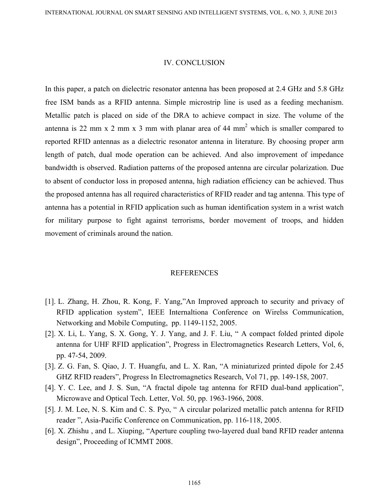#### IV. CONCLUSION

In this paper, a patch on dielectric resonator antenna has been proposed at 2.4 GHz and 5.8 GHz free ISM bands as a RFID antenna. Simple microstrip line is used as a feeding mechanism. Metallic patch is placed on side of the DRA to achieve compact in size. The volume of the antenna is 22 mm x 2 mm x 3 mm with planar area of 44 mm<sup>2</sup> which is smaller compared to reported RFID antennas as a dielectric resonator antenna in literature. By choosing proper arm length of patch, dual mode operation can be achieved. And also improvement of impedance bandwidth is observed. Radiation patterns of the proposed antenna are circular polarization. Due to absent of conductor loss in proposed antenna, high radiation efficiency can be achieved. Thus the proposed antenna has all required characteristics of RFID reader and tag antenna. This type of antenna has a potential in RFID application such as human identification system in a wrist watch for military purpose to fight against terrorisms, border movement of troops, and hidden movement of criminals around the nation.

#### **REFERENCES**

- [1]. L. Zhang, H. Zhou, R. Kong, F. Yang,"An Improved approach to security and privacy of RFID application system", IEEE Internaltiona Conference on Wirelss Communication, Networking and Mobile Computing, pp. 1149-1152, 2005.
- [2]. X. Li, L. Yang, S. X. Gong, Y. J. Yang, and J. F. Liu, " A compact folded printed dipole antenna for UHF RFID application", Progress in Electromagnetics Research Letters, Vol, 6, pp. 47-54, 2009.
- [3]. Z. G. Fan, S. Qiao, J. T. Huangfu, and L. X. Ran, "A miniaturized printed dipole for 2.45 GHZ RFID readers", Progress In Electromagnetics Research, Vol 71, pp. 149-158, 2007.
- [4]. Y. C. Lee, and J. S. Sun, "A fractal dipole tag antenna for RFID dual-band application", Microwave and Optical Tech. Letter, Vol. 50, pp. 1963-1966, 2008.
- [5]. J. M. Lee, N. S. Kim and C. S. Pyo, " A circular polarized metallic patch antenna for RFID reader ", Asia-Pacific Conference on Communication, pp. 116-118, 2005.
- [6]. X. Zhishu , and L. Xiuping, "Aperture coupling two-layered dual band RFID reader antenna design", Proceeding of ICMMT 2008.